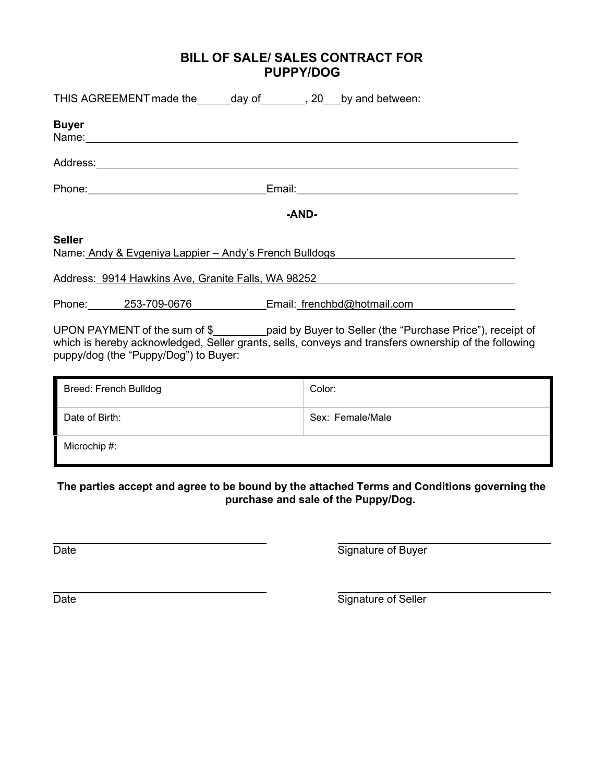# BILL OF SALE/ SALES CONTRACT FOR PUPPY/DOG

| THIS AGREEMENT made the ______ day of ________, 20 ___ by and between:                                                                                                                                                                        |                                                                                                                                                                                                           |  |
|-----------------------------------------------------------------------------------------------------------------------------------------------------------------------------------------------------------------------------------------------|-----------------------------------------------------------------------------------------------------------------------------------------------------------------------------------------------------------|--|
| <b>Buyer</b><br>Name: Name: Name: Name: Name: Name: Name: Name: Name: Name: Name: Name: Name: Name: Name: Name: Name: Name: Name: Name: Name: Name: Name: Name: Name: Name: Name: Name: Name: Name: Name: Name: Name: Name: Name: Name: Name: |                                                                                                                                                                                                           |  |
| Address: <u>www.community.community.community.com</u>                                                                                                                                                                                         |                                                                                                                                                                                                           |  |
|                                                                                                                                                                                                                                               |                                                                                                                                                                                                           |  |
|                                                                                                                                                                                                                                               | -AND-                                                                                                                                                                                                     |  |
| <b>Seller</b><br>Name: Andy & Evgeniya Lappier - Andy's French Bulldogs                                                                                                                                                                       |                                                                                                                                                                                                           |  |
| Address: 9914 Hawkins Ave, Granite Falls, WA 98252                                                                                                                                                                                            |                                                                                                                                                                                                           |  |
|                                                                                                                                                                                                                                               | Phone: 253-709-0676 Email: frenchbd@hotmail.com                                                                                                                                                           |  |
| puppy/dog (the "Puppy/Dog") to Buyer:                                                                                                                                                                                                         | UPON PAYMENT of the sum of \$__________paid by Buyer to Seller (the "Purchase Price"), receipt of<br>which is hereby acknowledged, Seller grants, sells, conveys and transfers ownership of the following |  |

| <b>Breed: French Bulldog</b> | Color:           |
|------------------------------|------------------|
| Date of Birth:               | Sex: Female/Male |
| Microchip #:                 |                  |

The parties accept and agree to be bound by the attached Terms and Conditions governing the purchase and sale of the Puppy/Dog.

Date **Signature of Buyer** 

Date Signature of Seller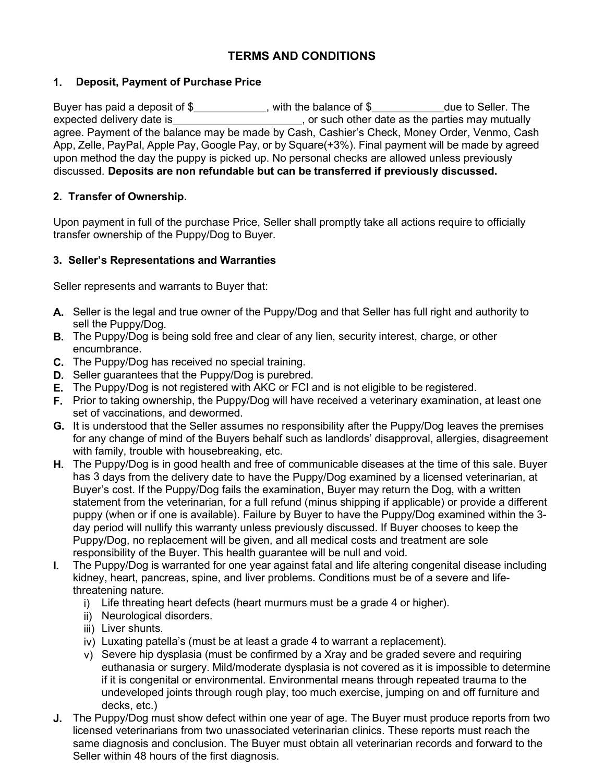# TERMS AND CONDITIONS

## 1. Deposit, Payment of Purchase Price

Buyer has paid a deposit of \$\_\_\_\_\_\_\_\_\_\_\_\_\_, with the balance of \$\_\_\_\_\_\_\_\_\_\_\_due to Seller. The expected delivery date is  $\frac{1}{\sqrt{1-\frac{1}{n}}}$ , or such other date as the parties may mutually expected on such other date as the parties may mutually agree. Payment of the balance may be made by Cash, Cashier's Check, Money Order, Venmo, Cash App, Zelle, PayPal, Apple Pay, Google Pay, or by Square(+3%). Final payment will be made by agreed upon method the day the puppy is picked up. No personal checks are allowed unless previously discussed. Deposits are non refundable but can be transferred if previously discussed.

## 2. Transfer of Ownership.

Upon payment in full of the purchase Price, Seller shall promptly take all actions require to officially transfer ownership of the Puppy/Dog to Buyer.

## 3. Seller's Representations and Warranties

Seller represents and warrants to Buyer that:

- A. Seller is the legal and true owner of the Puppy/Dog and that Seller has full right and authority to sell the Puppy/Dog.
- **B.** The Puppy/Dog is being sold free and clear of any lien, security interest, charge, or other encumbrance.
- C. The Puppy/Dog has received no special training.
- D. Seller guarantees that the Puppy/Dog is purebred.
- E. The Puppy/Dog is not registered with AKC or FCI and is not eligible to be registered.
- F. Prior to taking ownership, the Puppy/Dog will have received a veterinary examination, at least one set of vaccinations, and dewormed.
- G. It is understood that the Seller assumes no responsibility after the Puppy/Dog leaves the premises for any change of mind of the Buyers behalf such as landlords' disapproval, allergies, disagreement with family, trouble with housebreaking, etc.
- H. The Puppy/Dog is in good health and free of communicable diseases at the time of this sale. Buyer has 3 days from the delivery date to have the Puppy/Dog examined by a licensed veterinarian, at Buyer's cost. If the Puppy/Dog fails the examination, Buyer may return the Dog, with a written statement from the veterinarian, for a full refund (minus shipping if applicable) or provide a different puppy (when or if one is available). Failure by Buyer to have the Puppy/Dog examined within the 3 day period will nullify this warranty unless previously discussed. If Buyer chooses to keep the Puppy/Dog, no replacement will be given, and all medical costs and treatment are sole responsibility of the Buyer. This health guarantee will be null and void.
- I. The Puppy/Dog is warranted for one year against fatal and life altering congenital disease including kidney, heart, pancreas, spine, and liver problems. Conditions must be of a severe and lifethreatening nature.
	- i) Life threating heart defects (heart murmurs must be a grade 4 or higher).
	- ii) Neurological disorders.
	- iii) Liver shunts.
	- iv) Luxating patella's (must be at least a grade 4 to warrant a replacement).
	- v) Severe hip dysplasia (must be confirmed by a Xray and be graded severe and requiring euthanasia or surgery. Mild/moderate dysplasia is not covered as it is impossible to determine if it is congenital or environmental. Environmental means through repeated trauma to the undeveloped joints through rough play, too much exercise, jumping on and off furniture and decks, etc.)
- J. The Puppy/Dog must show defect within one year of age. The Buyer must produce reports from two licensed veterinarians from two unassociated veterinarian clinics. These reports must reach the same diagnosis and conclusion. The Buyer must obtain all veterinarian records and forward to the Seller within 48 hours of the first diagnosis.